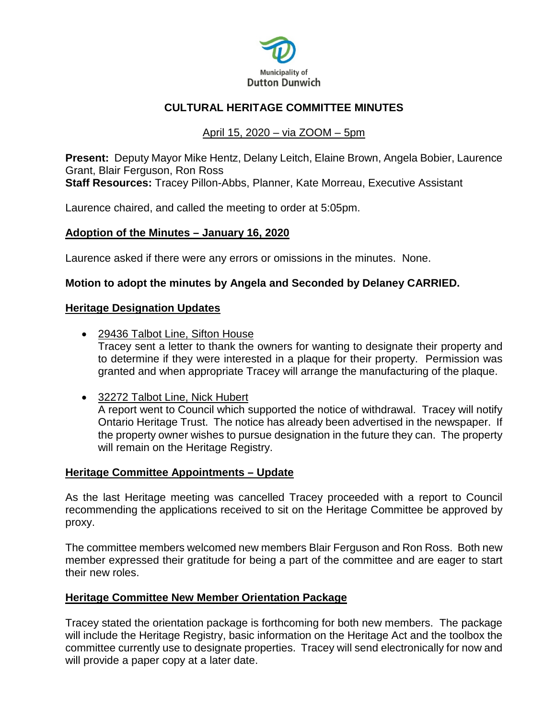

# **CULTURAL HERITAGE COMMITTEE MINUTES**

# April 15, 2020 – via ZOOM – 5pm

**Present:** Deputy Mayor Mike Hentz, Delany Leitch, Elaine Brown, Angela Bobier, Laurence Grant, Blair Ferguson, Ron Ross **Staff Resources:** Tracey Pillon-Abbs, Planner, Kate Morreau, Executive Assistant

Laurence chaired, and called the meeting to order at 5:05pm.

#### **Adoption of the Minutes – January 16, 2020**

Laurence asked if there were any errors or omissions in the minutes. None.

## **Motion to adopt the minutes by Angela and Seconded by Delaney CARRIED.**

#### **Heritage Designation Updates**

• 29436 Talbot Line, Sifton House

Tracey sent a letter to thank the owners for wanting to designate their property and to determine if they were interested in a plaque for their property. Permission was granted and when appropriate Tracey will arrange the manufacturing of the plaque.

• 32272 Talbot Line, Nick Hubert

A report went to Council which supported the notice of withdrawal. Tracey will notify Ontario Heritage Trust. The notice has already been advertised in the newspaper. If the property owner wishes to pursue designation in the future they can. The property will remain on the Heritage Registry.

#### **Heritage Committee Appointments – Update**

As the last Heritage meeting was cancelled Tracey proceeded with a report to Council recommending the applications received to sit on the Heritage Committee be approved by proxy.

The committee members welcomed new members Blair Ferguson and Ron Ross. Both new member expressed their gratitude for being a part of the committee and are eager to start their new roles.

## **Heritage Committee New Member Orientation Package**

Tracey stated the orientation package is forthcoming for both new members. The package will include the Heritage Registry, basic information on the Heritage Act and the toolbox the committee currently use to designate properties. Tracey will send electronically for now and will provide a paper copy at a later date.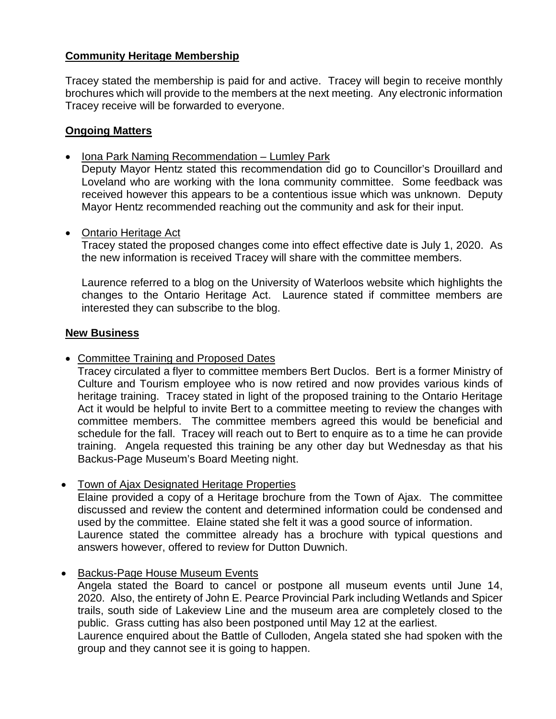# **Community Heritage Membership**

Tracey stated the membership is paid for and active. Tracey will begin to receive monthly brochures which will provide to the members at the next meeting. Any electronic information Tracey receive will be forwarded to everyone.

## **Ongoing Matters**

• Iona Park Naming Recommendation – Lumley Park

Deputy Mayor Hentz stated this recommendation did go to Councillor's Drouillard and Loveland who are working with the Iona community committee. Some feedback was received however this appears to be a contentious issue which was unknown. Deputy Mayor Hentz recommended reaching out the community and ask for their input.

• Ontario Heritage Act

Tracey stated the proposed changes come into effect effective date is July 1, 2020. As the new information is received Tracey will share with the committee members.

Laurence referred to a blog on the University of Waterloos website which highlights the changes to the Ontario Heritage Act. Laurence stated if committee members are interested they can subscribe to the blog.

## **New Business**

• Committee Training and Proposed Dates

Tracey circulated a flyer to committee members Bert Duclos. Bert is a former Ministry of Culture and Tourism employee who is now retired and now provides various kinds of heritage training. Tracey stated in light of the proposed training to the Ontario Heritage Act it would be helpful to invite Bert to a committee meeting to review the changes with committee members. The committee members agreed this would be beneficial and schedule for the fall. Tracey will reach out to Bert to enquire as to a time he can provide training. Angela requested this training be any other day but Wednesday as that his Backus-Page Museum's Board Meeting night.

• Town of Ajax Designated Heritage Properties

Elaine provided a copy of a Heritage brochure from the Town of Ajax. The committee discussed and review the content and determined information could be condensed and used by the committee. Elaine stated she felt it was a good source of information. Laurence stated the committee already has a brochure with typical questions and answers however, offered to review for Dutton Duwnich.

• Backus-Page House Museum Events

Angela stated the Board to cancel or postpone all museum events until June 14, 2020. Also, the entirety of John E. Pearce Provincial Park including Wetlands and Spicer trails, south side of Lakeview Line and the museum area are completely closed to the public. Grass cutting has also been postponed until May 12 at the earliest.

Laurence enquired about the Battle of Culloden, Angela stated she had spoken with the group and they cannot see it is going to happen.